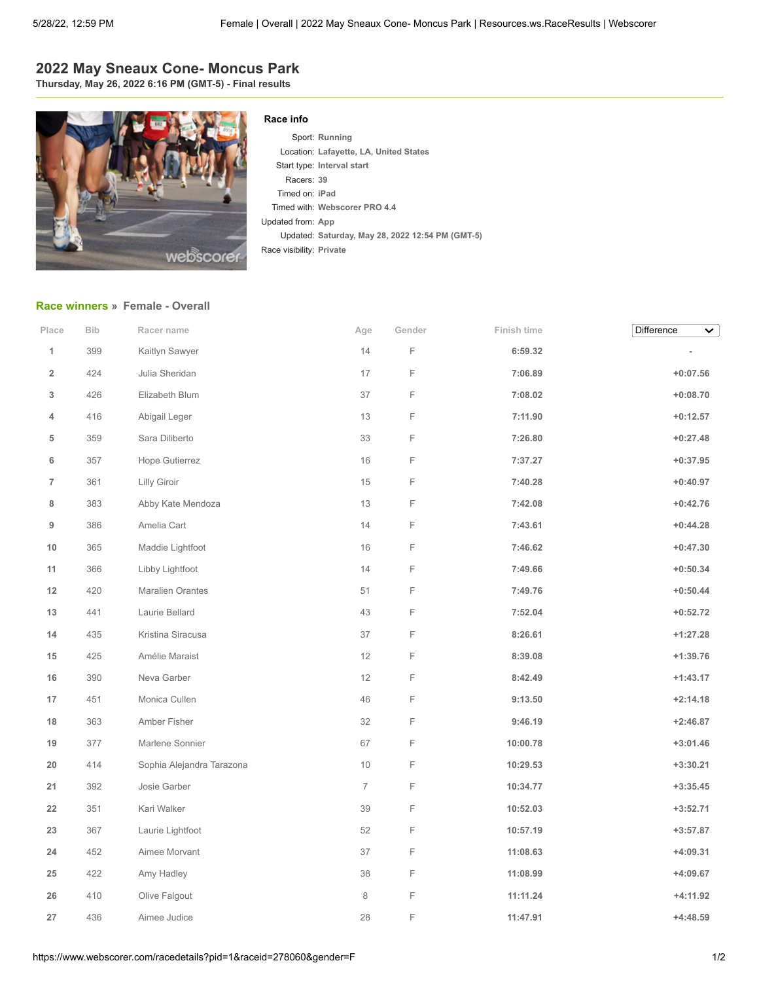## **2022 May Sneaux Cone- Moncus Park**

**Thursday, May 26, 2022 6:16 PM (GMT-5) - Final results**



## **Race info**

Sport: **Running** Location: **Lafayette, LA, United States** Start type: **Interval start** Racers: **39** Timed on: **iPad** Timed with: **Webscorer PRO 4.4** Updated from: **App** Updated: **Saturday, May 28, 2022 12:54 PM (GMT-5)** Race visibility: **Private**

## **[Race winners](https://www.webscorer.com/race?pid=1&raceid=278060) » Female - Overall**

| Place                   | <b>Bib</b> | Racer name                | Age            | Gender      | Finish time | Difference<br>$\checkmark$ |
|-------------------------|------------|---------------------------|----------------|-------------|-------------|----------------------------|
| $\mathbf{1}$            | 399        | Kaitlyn Sawyer            | 14             | $\mathsf F$ | 6:59.32     |                            |
| $\overline{\mathbf{2}}$ | 424        | Julia Sheridan            | 17             | $\mathsf F$ | 7:06.89     | $+0:07.56$                 |
| 3                       | 426        | Elizabeth Blum            | 37             | F           | 7:08.02     | $+0:08.70$                 |
| 4                       | 416        | Abigail Leger             | 13             | F           | 7:11.90     | $+0:12.57$                 |
| 5                       | 359        | Sara Diliberto            | 33             | F           | 7:26.80     | $+0:27.48$                 |
| 6                       | 357        | Hope Gutierrez            | 16             | F           | 7:37.27     | $+0:37.95$                 |
| 7                       | 361        | Lilly Giroir              | $15\,$         | F           | 7:40.28     | $+0:40.97$                 |
| 8                       | 383        | Abby Kate Mendoza         | 13             | F           | 7:42.08     | $+0:42.76$                 |
| 9                       | 386        | Amelia Cart               | 14             | F           | 7:43.61     | $+0:44.28$                 |
| 10                      | 365        | Maddie Lightfoot          | 16             | F           | 7:46.62     | $+0:47.30$                 |
| 11                      | 366        | Libby Lightfoot           | 14             | F           | 7:49.66     | $+0:50.34$                 |
| 12                      | 420        | <b>Maralien Orantes</b>   | 51             | F           | 7:49.76     | $+0:50.44$                 |
| 13                      | 441        | Laurie Bellard            | 43             | F           | 7:52.04     | $+0:52.72$                 |
| 14                      | 435        | Kristina Siracusa         | 37             | F           | 8:26.61     | $+1:27.28$                 |
| 15                      | 425        | Amélie Maraist            | 12             | F           | 8:39.08     | $+1:39.76$                 |
| 16                      | 390        | Neva Garber               | 12             | F           | 8:42.49     | $+1:43.17$                 |
| 17                      | 451        | Monica Cullen             | $46\,$         | $\mathsf F$ | 9:13.50     | $+2:14.18$                 |
| 18                      | 363        | Amber Fisher              | 32             | F           | 9:46.19     | $+2:46.87$                 |
| 19                      | 377        | Marlene Sonnier           | 67             | F           | 10:00.78    | $+3:01.46$                 |
| 20                      | 414        | Sophia Alejandra Tarazona | 10             | F           | 10:29.53    | $+3:30.21$                 |
| 21                      | 392        | Josie Garber              | $\overline{7}$ | $\mathsf F$ | 10:34.77    | $+3:35.45$                 |
| 22                      | 351        | Kari Walker               | 39             | F           | 10:52.03    | $+3:52.71$                 |
| 23                      | 367        | Laurie Lightfoot          | 52             | F           | 10:57.19    | $+3:57.87$                 |
| 24                      | 452        | Aimee Morvant             | 37             | F           | 11:08.63    | $+4:09.31$                 |
| 25                      | 422        | Amy Hadley                | 38             | F           | 11:08.99    | $+4:09.67$                 |
| 26                      | 410        | Olive Falgout             | 8              | F           | 11:11.24    | $+4:11.92$                 |
| 27                      | 436        | Aimee Judice              | 28             | F           | 11:47.91    | $+4:48.59$                 |